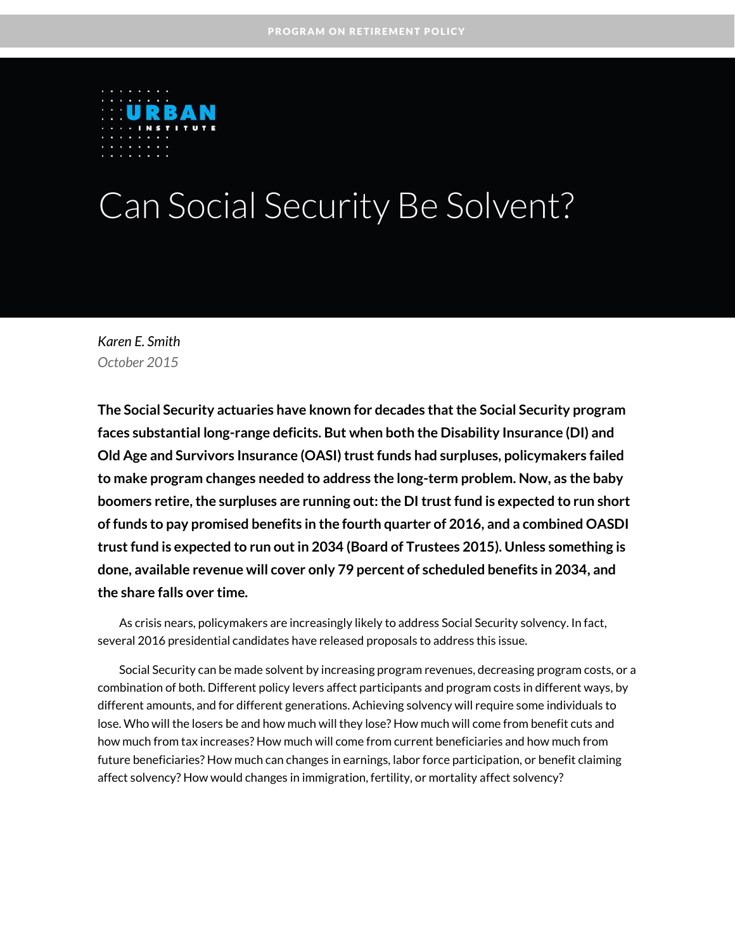

# Can Social Security Be Solvent?

*Karen E. Smith October 2015*

**The Social Security actuaries have known for decades that the Social Security program faces substantial long-range deficits. But when both the Disability Insurance (DI) and Old Age and Survivors Insurance (OASI) trust funds had surpluses, policymakers failed to make program changes needed to address the long-term problem. Now, as the baby boomers retire, the surpluses are running out:the DI trust fund is expected to run short of funds to pay promised benefits in the fourth quarter of 2016, and a combined OASDI trust fund is expected to run out in 2034 (Board of Trustees 2015). Unless something is done, available revenue will cover only 79 percent of scheduled benefits in 2034, and the share falls over time.** 

As crisis nears, policymakers are increasingly likely to address Social Security solvency. In fact, several 2016 presidential candidates have released proposals to address this issue.

Social Security can be made solvent by increasing program revenues, decreasing program costs, or a combination of both. Different policy levers affect participants and program costs in different ways, by different amounts, and for different generations. Achieving solvency will require some individuals to lose. Who will the losers be and how much will they lose? How much will come from benefit cuts and how much from tax increases? How much will come from current beneficiaries and how much from future beneficiaries? How much can changes in earnings, labor force participation, or benefit claiming affect solvency? How would changes in immigration, fertility, or mortality affect solvency?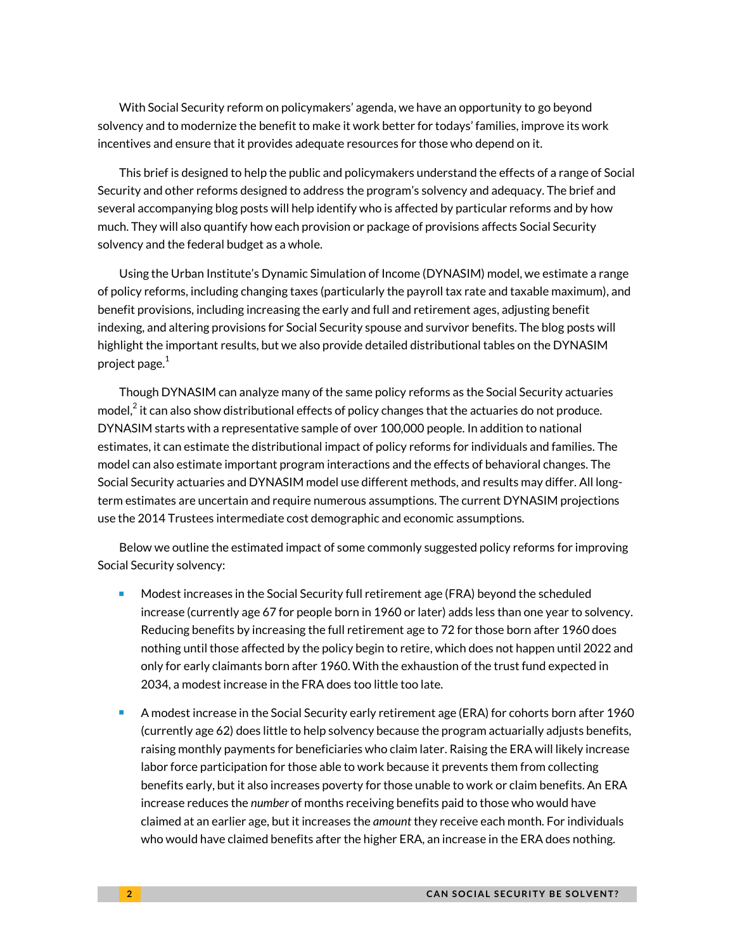With Social Security reform on policymakers' agenda, we have an opportunity to go beyond solvency and to modernize the benefit to make it work better for todays' families, improve its work incentives and ensure that it provides adequate resources for those who depend on it.

This brief is designed to help the public and policymakers understand the effects of a range of Social Security and other reforms designed to address the program's solvency and adequacy. The brief and several accompanying blog posts will help identify who is affected by particular reforms and by how much. They will also quantify how each provision or package of provisions affects Social Security solvency and the federal budget as a whole.

Using the Urban Institute's Dynamic Simulation of Income (DYNASIM) model, we estimate a range of policy reforms, including changing taxes (particularly the payroll tax rate and taxable maximum), and benefit provisions, including increasing the early and full and retirement ages, adjusting benefit indexing, and altering provisions for Social Security spouse and survivor benefits. The blog posts will highlight the important results, but we also provide detailed distributional tables on the DYNASIM project pag[e.](#page-3-0) $^{\rm 1}$ 

Though DYNASIM can analyze many of the same policy reforms as the Social Security actuaries mode[l,](#page-3-1) $^2$  it can also show distributional effects of policy changes that the actuaries do not produce. DYNASIM starts with a representative sample of over 100,000 people. In addition to national estimates, it can estimate the distributional impact of policy reforms for individuals and families. The model can also estimate important program interactions and the effects of behavioral changes. The Social Security actuaries and DYNASIM model use different methods, and results may differ. All longterm estimates are uncertain and require numerous assumptions. The current DYNASIM projections use the 2014 Trustees intermediate cost demographic and economic assumptions.

Below we outline the estimated impact of some commonly suggested policy reforms for improving Social Security solvency:

- Modest increases in the Social Security full retirement age (FRA) beyond the scheduled increase (currently age 67 for people born in 1960 or later) adds less than one year to solvency. Reducing benefits by increasing the full retirement age to 72 for those born after 1960 does nothing until those affected by the policy begin to retire, which does not happen until 2022 and only for early claimants born after 1960. With the exhaustion of the trust fund expected in 2034, a modest increase in the FRA does too little too late.
- A modest increase in the Social Security early retirement age (ERA) for cohorts born after 1960 (currently age 62) does little to help solvency because the program actuarially adjusts benefits, raising monthly payments for beneficiaries who claim later. Raising the ERA will likely increase labor force participation for those able to work because it prevents them from collecting benefits early, but it also increases poverty for those unable to work or claim benefits. An ERA increase reduces the *number* of months receiving benefits paid to those who would have claimed at an earlier age, but it increases the *amount* they receive each month. For individuals who would have claimed benefits after the higher ERA, an increase in the ERA does nothing.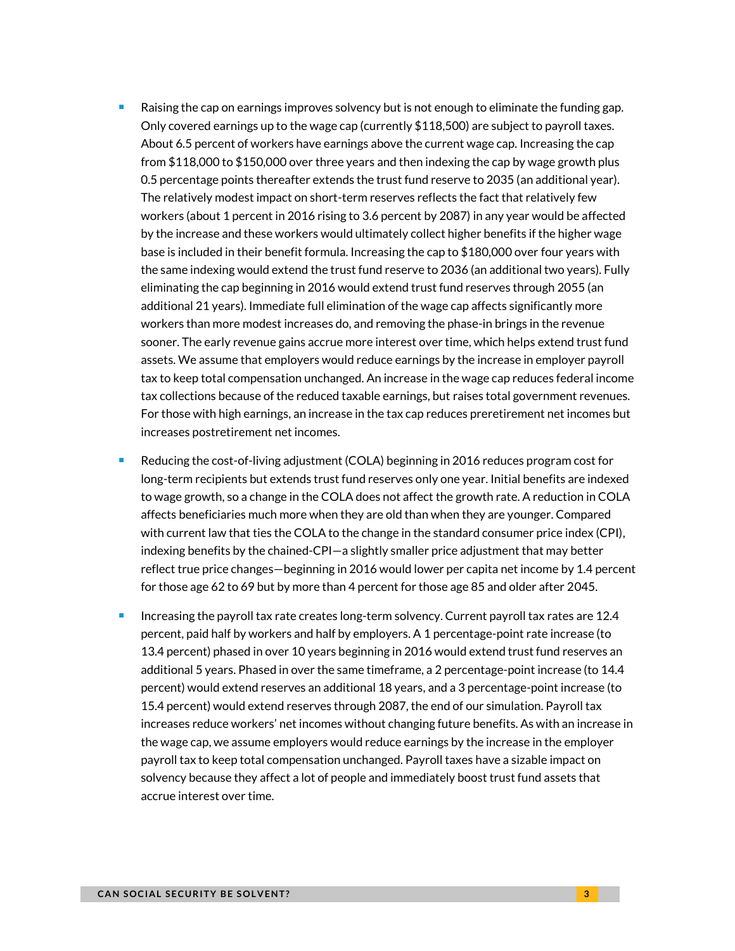- Raising the cap on earnings improves solvency but is not enough to eliminate the funding gap. Only covered earnings up to the wage cap (currently \$118,500) are subject to payroll taxes. About 6.5 percent of workers have earnings above the current wage cap. Increasing the cap from \$118,000 to \$150,000 over three years and then indexing the cap by wage growth plus 0.5 percentage points thereafter extends the trust fund reserve to 2035 (an additional year). The relatively modest impact on short-term reserves reflects the fact that relatively few workers (about 1 percent in 2016 rising to 3.6 percent by 2087) in any year would be affected by the increase and these workers would ultimately collect higher benefits if the higher wage base is included in their benefit formula. Increasing the cap to \$180,000 over four years with the same indexing would extend the trust fund reserve to 2036 (an additional two years). Fully eliminating the cap beginning in 2016 would extend trust fund reserves through 2055 (an additional 21 years). Immediate full elimination of the wage cap affects significantly more workers than more modest increases do, and removing the phase-in brings in the revenue sooner. The early revenue gains accrue more interest over time, which helps extend trust fund assets. We assume that employers would reduce earnings by the increase in employer payroll tax to keep total compensation unchanged. An increase in the wage cap reduces federal income tax collections because of the reduced taxable earnings, but raises total government revenues. For those with high earnings, an increase in the tax cap reduces preretirement net incomes but increases postretirement net incomes.
- Reducing the cost-of-living adjustment (COLA) beginning in 2016 reduces program cost for long-term recipients but extends trust fund reserves only one year. Initial benefits are indexed to wage growth, so a change in the COLA does not affect the growth rate. A reduction in COLA affects beneficiaries much more when they are old than when they are younger. Compared with current law that ties the COLA to the change in the standard consumer price index (CPI), indexing benefits by the chained-CPI—a slightly smaller price adjustment that may better reflect true price changes—beginning in 2016 would lower per capita net income by 1.4 percent for those age 62 to 69 but by more than 4 percent for those age 85 and older after 2045.
- Increasing the payroll tax rate creates long-term solvency. Current payroll tax rates are 12.4 percent, paid half by workers and half by employers. A 1 percentage-point rate increase (to 13.4 percent) phased in over 10 years beginning in 2016 would extend trust fund reserves an additional 5 years. Phased in over the same timeframe, a 2 percentage-point increase (to 14.4 percent) would extend reserves an additional 18 years, and a 3 percentage-point increase (to 15.4 percent) would extend reserves through 2087, the end of our simulation. Payroll tax increases reduce workers' net incomes without changing future benefits. As with an increase in the wage cap, we assume employers would reduce earnings by the increase in the employer payroll tax to keep total compensation unchanged. Payroll taxes have a sizable impact on solvency because they affect a lot of people and immediately boost trust fund assets that accrue interest over time.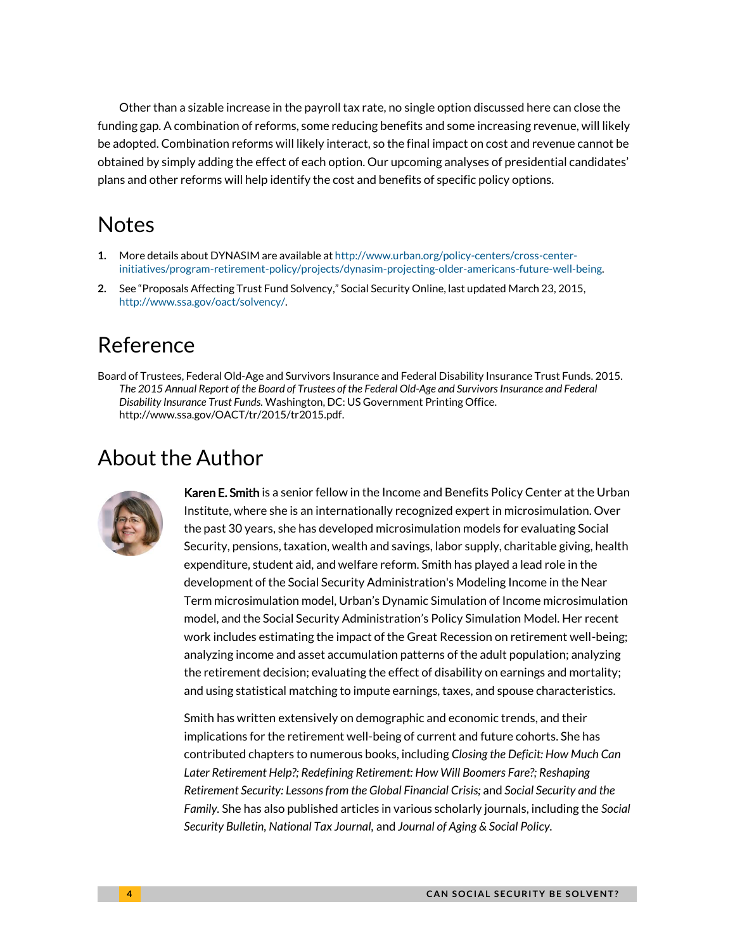Other than a sizable increase in the payroll tax rate, no single option discussed here can close the funding gap. A combination of reforms, some reducing benefits and some increasing revenue, will likely be adopted. Combination reforms will likely interact, so the final impact on cost and revenue cannot be obtained by simply adding the effect of each option. Our upcoming analyses of presidential candidates' plans and other reforms will help identify the cost and benefits of specific policy options.

### Notes

- <span id="page-3-0"></span>**1.** More details about DYNASIM are available a[t http://www.urban.org/policy-centers/cross-center](http://www.urban.org/policy-centers/cross-center-initiatives/program-retirement-policy/projects/dynasim-projecting-older-americans-future-well-being)[initiatives/program-retirement-policy/projects/dynasim-projecting-older-americans-future-well-being.](http://www.urban.org/policy-centers/cross-center-initiatives/program-retirement-policy/projects/dynasim-projecting-older-americans-future-well-being)
- <span id="page-3-1"></span>**2.** See "Proposals Affecting Trust Fund Solvency," Social Security Online, last updated March 23, 2015, [http://www.ssa.gov/oact/solvency/.](http://www.ssa.gov/oact/solvency/)

### Reference

Board of Trustees, Federal Old-Age and Survivors Insurance and Federal Disability Insurance Trust Funds. 2015. *The 2015 Annual Report of the Board of Trustees of the Federal Old-Age and Survivors Insurance and Federal Disability Insurance Trust Funds.* Washington, DC: US Government Printing Office. http://www.ssa.gov/OACT/tr/2015/tr2015.pdf.

## About the Author



Karen E. Smith is a senior fellow in the Income and Benefits Policy Center at the Urban Institute, where she is an internationally recognized expert in microsimulation. Over the past 30 years, she has developed microsimulation models for evaluating Social Security, pensions, taxation, wealth and savings, labor supply, charitable giving, health expenditure, student aid, and welfare reform. Smith has played a lead role in the development of the Social Security Administration's Modeling Income in the Near Term microsimulation model, Urban's Dynamic Simulation of Income microsimulation model, and the Social Security Administration's Policy Simulation Model. Her recent work includes estimating the impact of the Great Recession on retirement well-being; analyzing income and asset accumulation patterns of the adult population; analyzing the retirement decision; evaluating the effect of disability on earnings and mortality; and using statistical matching to impute earnings, taxes, and spouse characteristics.

Smith has written extensively on demographic and economic trends, and their implications for the retirement well-being of current and future cohorts. She has contributed chapters to numerous books, including *Closing the Deficit: How Much Can Later Retirement Help?; Redefining Retirement: How Will Boomers Fare?; Reshaping Retirement Security: Lessons from the Global Financial Crisis;* and *Social Security and the Family.* She has also published articles in various scholarly journals, including the *Social Security Bulletin, National Tax Journal,* and *Journal of Aging & Social Policy.*